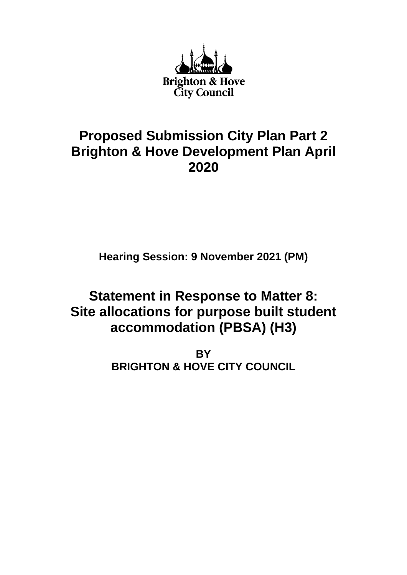

# **Proposed Submission City Plan Part 2 Brighton & Hove Development Plan April 2020**

**Hearing Session: 9 November 2021 (PM)**

# **Statement in Response to Matter 8: Site allocations for purpose built student accommodation (PBSA) (H3)**

**BY BRIGHTON & HOVE CITY COUNCIL**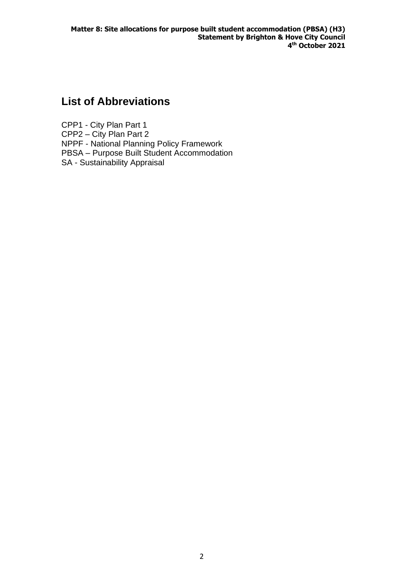# **List of Abbreviations**

CPP1 - City Plan Part 1 CPP2 – City Plan Part 2 NPPF - National Planning Policy Framework PBSA – Purpose Built Student Accommodation SA - Sustainability Appraisal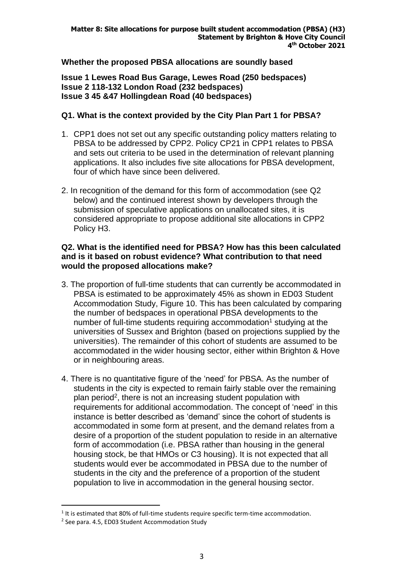# **Whether the proposed PBSA allocations are soundly based**

**Issue 1 Lewes Road Bus Garage, Lewes Road (250 bedspaces) Issue 2 118-132 London Road (232 bedspaces) Issue 3 45 &47 Hollingdean Road (40 bedspaces)**

## **Q1. What is the context provided by the City Plan Part 1 for PBSA?**

- 1. CPP1 does not set out any specific outstanding policy matters relating to PBSA to be addressed by CPP2. Policy CP21 in CPP1 relates to PBSA and sets out criteria to be used in the determination of relevant planning applications. It also includes five site allocations for PBSA development, four of which have since been delivered.
- 2. In recognition of the demand for this form of accommodation (see Q2 below) and the continued interest shown by developers through the submission of speculative applications on unallocated sites, it is considered appropriate to propose additional site allocations in CPP2 Policy H3.

#### **Q2. What is the identified need for PBSA? How has this been calculated and is it based on robust evidence? What contribution to that need would the proposed allocations make?**

- 3. The proportion of full-time students that can currently be accommodated in PBSA is estimated to be approximately 45% as shown in ED03 Student Accommodation Study, Figure 10. This has been calculated by comparing the number of bedspaces in operational PBSA developments to the number of full-time students requiring accommodation<sup>1</sup> studying at the universities of Sussex and Brighton (based on projections supplied by the universities). The remainder of this cohort of students are assumed to be accommodated in the wider housing sector, either within Brighton & Hove or in neighbouring areas.
- 4. There is no quantitative figure of the 'need' for PBSA. As the number of students in the city is expected to remain fairly stable over the remaining plan period<sup>2</sup>, there is not an increasing student population with requirements for additional accommodation. The concept of 'need' in this instance is better described as 'demand' since the cohort of students is accommodated in some form at present, and the demand relates from a desire of a proportion of the student population to reside in an alternative form of accommodation (i.e. PBSA rather than housing in the general housing stock, be that HMOs or C3 housing). It is not expected that all students would ever be accommodated in PBSA due to the number of students in the city and the preference of a proportion of the student population to live in accommodation in the general housing sector.

 $<sup>1</sup>$  It is estimated that 80% of full-time students require specific term-time accommodation.</sup>

<sup>&</sup>lt;sup>2</sup> See para. 4.5, ED03 Student Accommodation Study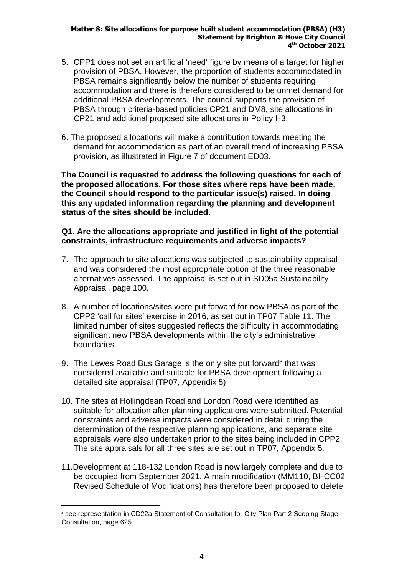- 5. CPP1 does not set an artificial 'need' figure by means of a target for higher provision of PBSA. However, the proportion of students accommodated in PBSA remains significantly below the number of students requiring accommodation and there is therefore considered to be unmet demand for additional PBSA developments. The council supports the provision of PBSA through criteria-based policies CP21 and DM8, site allocations in CP21 and additional proposed site allocations in Policy H3.
- 6. The proposed allocations will make a contribution towards meeting the demand for accommodation as part of an overall trend of increasing PBSA provision, as illustrated in Figure 7 of document ED03.

**The Council is requested to address the following questions for each of the proposed allocations. For those sites where reps have been made, the Council should respond to the particular issue(s) raised. In doing this any updated information regarding the planning and development status of the sites should be included.**

### **Q1. Are the allocations appropriate and justified in light of the potential constraints, infrastructure requirements and adverse impacts?**

- 7. The approach to site allocations was subjected to sustainability appraisal and was considered the most appropriate option of the three reasonable alternatives assessed. The appraisal is set out in SD05a Sustainability Appraisal, page 100.
- 8. A number of locations/sites were put forward for new PBSA as part of the CPP2 'call for sites' exercise in 2016, as set out in TP07 Table 11. The limited number of sites suggested reflects the difficulty in accommodating significant new PBSA developments within the city's administrative boundaries.
- 9. The Lewes Road Bus Garage is the only site put forward<sup>3</sup> that was considered available and suitable for PBSA development following a detailed site appraisal (TP07, Appendix 5).
- 10. The sites at Hollingdean Road and London Road were identified as suitable for allocation after planning applications were submitted. Potential constraints and adverse impacts were considered in detail during the determination of the respective planning applications, and separate site appraisals were also undertaken prior to the sites being included in CPP2. The site appraisals for all three sites are set out in TP07, Appendix 5.
- 11.Development at 118-132 London Road is now largely complete and due to be occupied from September 2021. A main modification (MM110, BHCC02 Revised Schedule of Modifications) has therefore been proposed to delete

<sup>&</sup>lt;sup>3</sup> see representation in CD22a Statement of Consultation for City Plan Part 2 Scoping Stage Consultation, page 625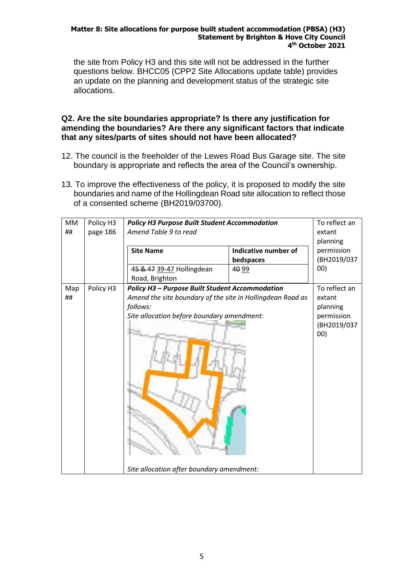the site from Policy H3 and this site will not be addressed in the further questions below. BHCC05 (CPP2 Site Allocations update table) provides an update on the planning and development status of the strategic site allocations.

#### **Q2. Are the site boundaries appropriate? Is there any justification for amending the boundaries? Are there any significant factors that indicate that any sites/parts of sites should not have been allocated?**

- 12. The council is the freeholder of the Lewes Road Bus Garage site. The site boundary is appropriate and reflects the area of the Council's ownership.
- 13. To improve the effectiveness of the policy, it is proposed to modify the site boundaries and name of the Hollingdean Road site allocation to reflect those of a consented scheme (BH2019/03700).

| <b>MM</b> | Policy H3<br><b>Policy H3 Purpose Built Student Accommodation</b>   |                                                                        |                      | To reflect an |
|-----------|---------------------------------------------------------------------|------------------------------------------------------------------------|----------------------|---------------|
| ##        | page 186                                                            | Amend Table 9 to read                                                  |                      | extant        |
|           |                                                                     |                                                                        |                      | planning      |
|           |                                                                     | <b>Site Name</b>                                                       | Indicative number of | permission    |
|           |                                                                     |                                                                        | bedspaces            | (BH2019/037   |
|           |                                                                     | 45 & 47 39-47 Hollingdean                                              | 40 99                | 00)           |
|           |                                                                     | Road, Brighton                                                         |                      |               |
| Map       | <b>Policy H3 - Purpose Built Student Accommodation</b><br>Policy H3 |                                                                        | To reflect an        |               |
| ##        |                                                                     | Amend the site boundary of the site in Hollingdean Road as<br>follows: |                      | extant        |
|           |                                                                     |                                                                        |                      | planning      |
|           |                                                                     | Site allocation before boundary amendment:                             |                      | permission    |
|           |                                                                     |                                                                        | (BH2019/037          |               |
|           |                                                                     |                                                                        | 00)                  |               |
|           |                                                                     | Site allocation after boundary amendment:                              |                      |               |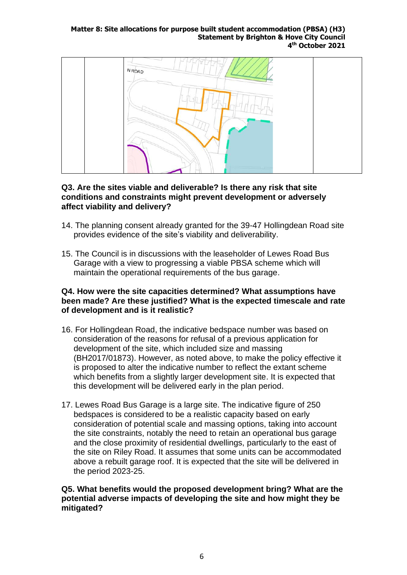

### **Q3. Are the sites viable and deliverable? Is there any risk that site conditions and constraints might prevent development or adversely affect viability and delivery?**

- 14. The planning consent already granted for the 39-47 Hollingdean Road site provides evidence of the site's viability and deliverability.
- 15. The Council is in discussions with the leaseholder of Lewes Road Bus Garage with a view to progressing a viable PBSA scheme which will maintain the operational requirements of the bus garage.

#### **Q4. How were the site capacities determined? What assumptions have been made? Are these justified? What is the expected timescale and rate of development and is it realistic?**

- 16. For Hollingdean Road, the indicative bedspace number was based on consideration of the reasons for refusal of a previous application for development of the site, which included size and massing (BH2017/01873). However, as noted above, to make the policy effective it is proposed to alter the indicative number to reflect the extant scheme which benefits from a slightly larger development site. It is expected that this development will be delivered early in the plan period.
- 17. Lewes Road Bus Garage is a large site. The indicative figure of 250 bedspaces is considered to be a realistic capacity based on early consideration of potential scale and massing options, taking into account the site constraints, notably the need to retain an operational bus garage and the close proximity of residential dwellings, particularly to the east of the site on Riley Road. It assumes that some units can be accommodated above a rebuilt garage roof. It is expected that the site will be delivered in the period 2023-25.

#### **Q5. What benefits would the proposed development bring? What are the potential adverse impacts of developing the site and how might they be mitigated?**